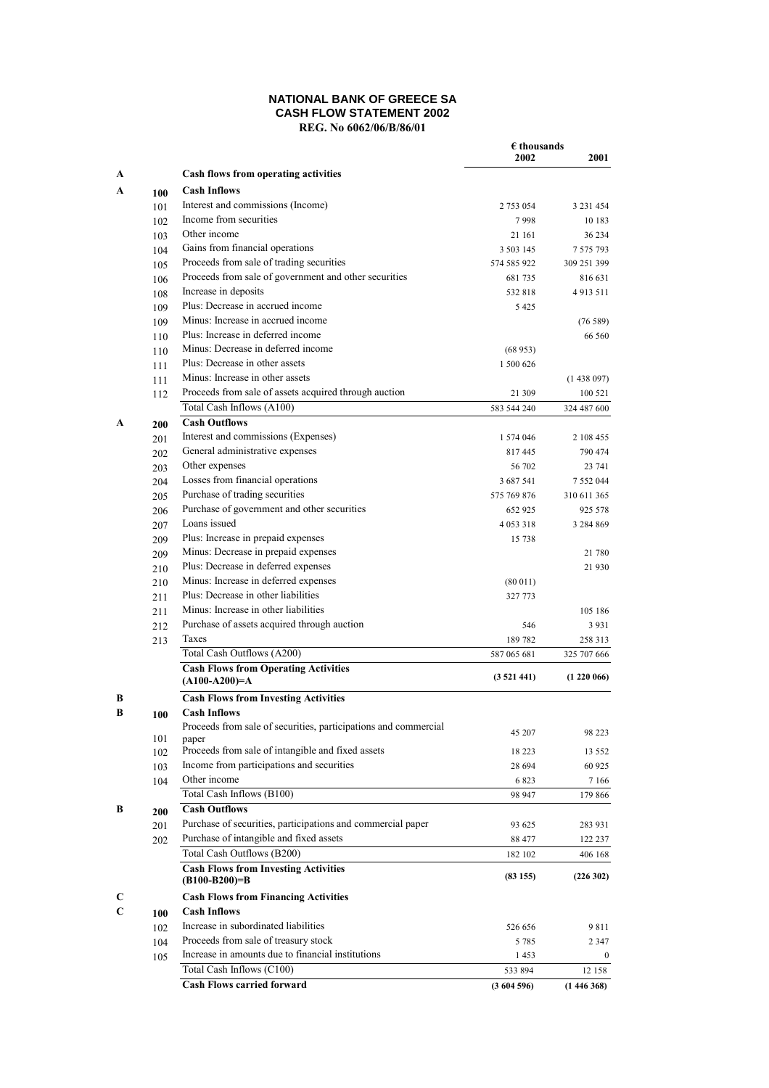## **NATIONAL BANK OF GREECE SA CASH FLOW STATEMENT 2002 REG. No 6062/06/B/86/01**

|   |     |                                                                 | $\epsilon$ thousands<br>2002 | 2001        |
|---|-----|-----------------------------------------------------------------|------------------------------|-------------|
| A |     | Cash flows from operating activities                            |                              |             |
| A | 100 | <b>Cash Inflows</b>                                             |                              |             |
|   | 101 | Interest and commissions (Income)                               | 2 753 054                    | 3 231 454   |
|   | 102 | Income from securities                                          | 7998                         | 10 183      |
|   | 103 | Other income                                                    | 21 161                       | 36 234      |
|   | 104 | Gains from financial operations                                 | 3 503 145                    | 7 575 793   |
|   | 105 | Proceeds from sale of trading securities                        | 574 585 922                  | 309 251 399 |
|   | 106 | Proceeds from sale of government and other securities           | 681735                       | 816 631     |
|   | 108 | Increase in deposits                                            | 532818                       | 4 9 13 5 11 |
|   | 109 | Plus: Decrease in accrued income                                | 5 4 2 5                      |             |
|   | 109 | Minus: Increase in accrued income                               |                              | (76589)     |
|   | 110 | Plus: Increase in deferred income                               |                              | 66 560      |
|   | 110 | Minus: Decrease in deferred income                              | (68953)                      |             |
|   | 111 | Plus: Decrease in other assets                                  | 1 500 626                    |             |
|   | 111 | Minus: Increase in other assets                                 |                              | (1438097)   |
|   | 112 | Proceeds from sale of assets acquired through auction           | 21 309                       | 100 521     |
|   |     | Total Cash Inflows (A100)                                       | 583 544 240                  | 324 487 600 |
| A | 200 | <b>Cash Outflows</b>                                            |                              |             |
|   | 201 | Interest and commissions (Expenses)                             | 1 574 046                    | 2 108 455   |
|   | 202 | General administrative expenses                                 | 817445                       | 790 474     |
|   | 203 | Other expenses                                                  | 56 702                       | 23 741      |
|   | 204 | Losses from financial operations                                | 3 687 541                    | 7 552 044   |
|   | 205 | Purchase of trading securities                                  | 575 769 876                  | 310 611 365 |
|   | 206 | Purchase of government and other securities                     | 652 925                      | 925 578     |
|   | 207 | Loans issued                                                    | 4 0 5 3 3 1 8                | 3 284 869   |
|   | 209 | Plus: Increase in prepaid expenses                              | 15 738                       |             |
|   | 209 | Minus: Decrease in prepaid expenses                             |                              | 21 780      |
|   | 210 | Plus: Decrease in deferred expenses                             |                              | 21 930      |
|   | 210 | Minus: Increase in deferred expenses                            | (80011)                      |             |
|   | 211 | Plus: Decrease in other liabilities                             | 327 773                      |             |
|   | 211 | Minus: Increase in other liabilities                            |                              | 105 186     |
|   | 212 | Purchase of assets acquired through auction                     | 546                          | 3 9 3 1     |
|   | 213 | Taxes                                                           | 189782                       | 258 313     |
|   |     | Total Cash Outflows (A200)                                      | 587 065 681                  | 325 707 666 |
|   |     | <b>Cash Flows from Operating Activities</b><br>$(A100-A200)=A$  | (3521441)                    | (1220066)   |
| B |     | <b>Cash Flows from Investing Activities</b>                     |                              |             |
| B | 100 | <b>Cash Inflows</b>                                             |                              |             |
|   |     | Proceeds from sale of securities, participations and commercial |                              |             |
|   | 101 | paper                                                           | 45 207                       | 98 223      |
|   | 102 | Proceeds from sale of intangible and fixed assets               | 18 223                       | 13 552      |
|   | 103 | Income from participations and securities                       | 28 694                       | 60 925      |
|   | 104 | Other income                                                    | 6823                         | 7 1 6 6     |
|   |     | Total Cash Inflows (B100)                                       | 98 947                       | 179 866     |
| В | 200 | <b>Cash Outflows</b>                                            |                              |             |
|   | 201 | Purchase of securities, participations and commercial paper     | 93 625                       | 283 931     |
|   | 202 | Purchase of intangible and fixed assets                         | 88 477                       | 122 237     |
|   |     | Total Cash Outflows (B200)                                      | 182 102                      | 406 168     |
|   |     | <b>Cash Flows from Investing Activities</b><br>$(B100-B200)=B$  | (83155)                      | (226302)    |
| C |     | <b>Cash Flows from Financing Activities</b>                     |                              |             |
| C | 100 | <b>Cash Inflows</b>                                             |                              |             |
|   | 102 | Increase in subordinated liabilities                            | 526 656                      | 9811        |
|   | 104 | Proceeds from sale of treasury stock                            | 5 7 8 5                      | 2 3 4 7     |
|   | 105 | Increase in amounts due to financial institutions               | 1453                         | $\bf{0}$    |
|   |     | Total Cash Inflows (C100)                                       | 533 894                      | 12 158      |
|   |     | <b>Cash Flows carried forward</b>                               | (3604596)                    | (1446368)   |